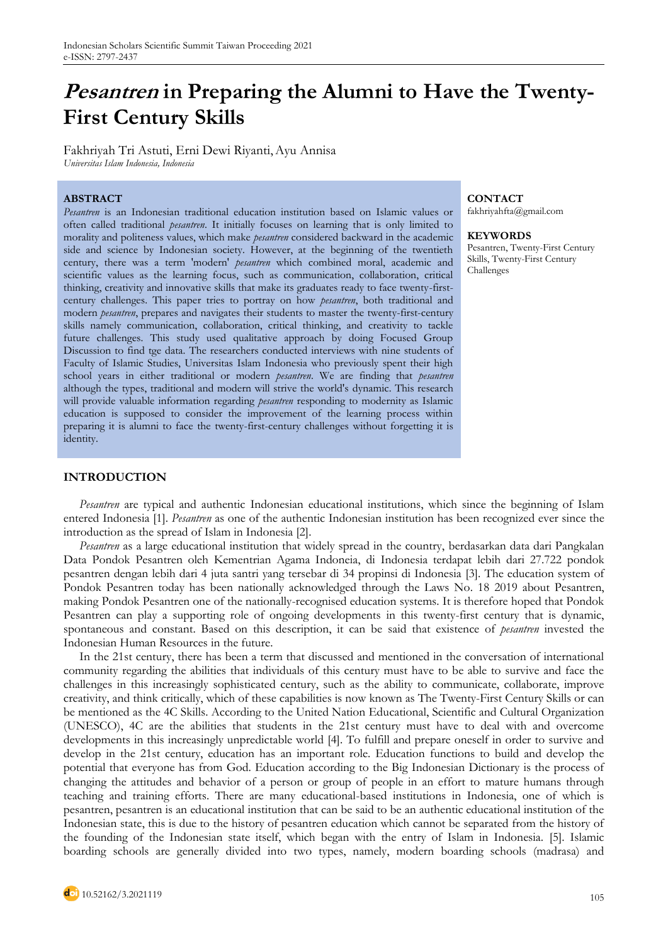# **Pesantren in Preparing the Alumni to Have the Twenty-First Century Skills**

Fakhriyah Tri Astuti, Erni Dewi Riyanti,Ayu Annisa *Universitas Islam Indonesia, Indonesia*

## **ABSTRACT CONTACT**

*Pesantren* is an Indonesian traditional education institution based on Islamic values or often called traditional *pesantren*. It initially focuses on learning that is only limited to morality and politeness values, which make *pesantren* considered backward in the academic side and science by Indonesian society. However, at the beginning of the twentieth century, there was a term 'modern' *pesantren* which combined moral, academic and scientific values as the learning focus, such as communication, collaboration, critical thinking, creativity and innovative skills that make its graduates ready to face twenty-firstcentury challenges. This paper tries to portray on how *pesantren*, both traditional and modern *pesantren*, prepares and navigates their students to master the twenty-first-century skills namely communication, collaboration, critical thinking, and creativity to tackle future challenges. This study used qualitative approach by doing Focused Group Discussion to find tge data. The researchers conducted interviews with nine students of Faculty of Islamic Studies, Universitas Islam Indonesia who previously spent their high school years in either traditional or modern *pesantren*. We are finding that *pesantren* although the types, traditional and modern will strive the world's dynamic. This research will provide valuable information regarding *pesantren* responding to modernity as Islamic education is supposed to consider the improvement of the learning process within preparing it is alumni to face the twenty-first-century challenges without forgetting it is identity.

## **INTRODUCTION**

*Pesantren* are typical and authentic Indonesian educational institutions, which since the beginning of Islam entered Indonesia [1]. *Pesantren* as one of the authentic Indonesian institution has been recognized ever since the introduction as the spread of Islam in Indonesia [2].

*Pesantren* as a large educational institution that widely spread in the country, berdasarkan data dari Pangkalan Data Pondok Pesantren oleh Kementrian Agama Indoneia, di Indonesia terdapat lebih dari 27.722 pondok pesantren dengan lebih dari 4 juta santri yang tersebar di 34 propinsi di Indonesia [3]. The education system of Pondok Pesantren today has been nationally acknowledged through the Laws No. 18 2019 about Pesantren, making Pondok Pesantren one of the nationally-recognised education systems. It is therefore hoped that Pondok Pesantren can play a supporting role of ongoing developments in this twenty-first century that is dynamic, spontaneous and constant. Based on this description, it can be said that existence of *pesantren* invested the Indonesian Human Resources in the future.

In the 21st century, there has been a term that discussed and mentioned in the conversation of international community regarding the abilities that individuals of this century must have to be able to survive and face the challenges in this increasingly sophisticated century, such as the ability to communicate, collaborate, improve creativity, and think critically, which of these capabilities is now known as The Twenty-First Century Skills or can be mentioned as the 4C Skills. According to the United Nation Educational, Scientific and Cultural Organization (UNESCO), 4C are the abilities that students in the 21st century must have to deal with and overcome developments in this increasingly unpredictable world [4]. To fulfill and prepare oneself in order to survive and develop in the 21st century, education has an important role. Education functions to build and develop the potential that everyone has from God. Education according to the Big Indonesian Dictionary is the process of changing the attitudes and behavior of a person or group of people in an effort to mature humans through teaching and training efforts. There are many educational-based institutions in Indonesia, one of which is pesantren, pesantren is an educational institution that can be said to be an authentic educational institution of the Indonesian state, this is due to the history of pesantren education which cannot be separated from the history of the founding of the Indonesian state itself, which began with the entry of Islam in Indonesia. [5]. Islamic boarding schools are generally divided into two types, namely, modern boarding schools (madrasa) and

# fakhriyahfta@gmail.com

#### **KEYWORDS**

Pesantren, Twenty-First Century Skills, Twenty-First Century Challenges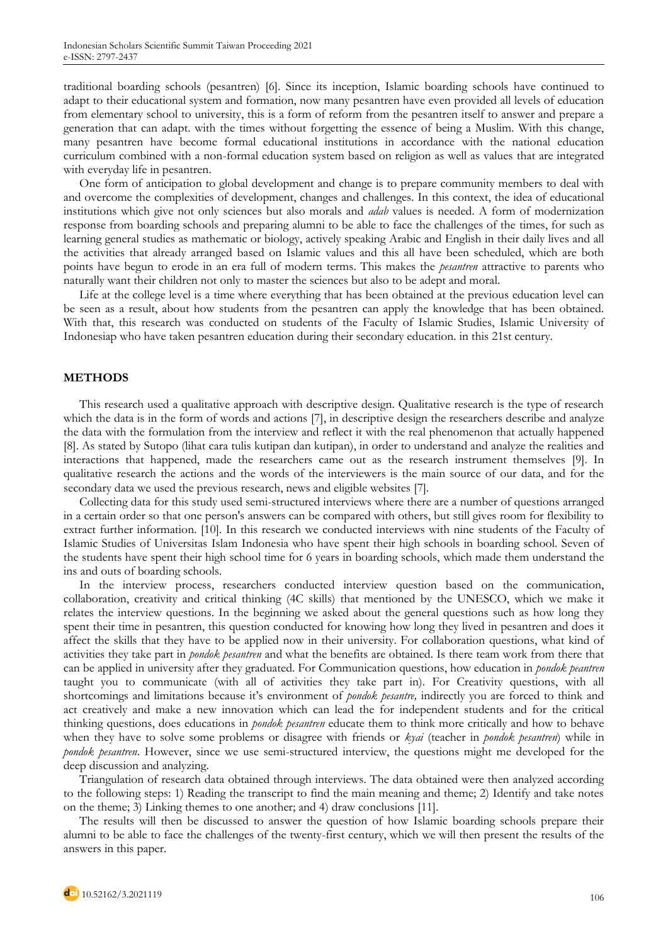traditional boarding schools (pesantren) [6]. Since its inception, Islamic boarding schools have continued to adapt to their educational system and formation, now many pesantren have even provided all levels of education from elementary school to university, this is a form of reform from the pesantren itself to answer and prepare a generation that can adapt. with the times without forgetting the essence of being a Muslim. With this change, many pesantren have become formal educational institutions in accordance with the national education curriculum combined with a non-formal education system based on religion as well as values that are integrated with everyday life in pesantren.

One form of anticipation to global development and change is to prepare community members to deal with and overcome the complexities of development, changes and challenges. In this context, the idea of educational institutions which give not only sciences but also morals and *adab* values is needed. A form of modernization response from boarding schools and preparing alumni to be able to face the challenges of the times, for such as learning general studies as mathematic or biology, actively speaking Arabic and English in their daily lives and all the activities that already arranged based on Islamic values and this all have been scheduled, which are both points have begun to erode in an era full of modern terms. This makes the *pesantren* attractive to parents who naturally want their children not only to master the sciences but also to be adept and moral.

Life at the college level is a time where everything that has been obtained at the previous education level can be seen as a result, about how students from the pesantren can apply the knowledge that has been obtained. With that, this research was conducted on students of the Faculty of Islamic Studies, Islamic University of Indonesiap who have taken pesantren education during their secondary education. in this 21st century.

### **METHODS**

This research used a qualitative approach with descriptive design. Qualitative research is the type of research which the data is in the form of words and actions [7], in descriptive design the researchers describe and analyze the data with the formulation from the interview and reflect it with the real phenomenon that actually happened [8]. As stated by Sutopo (lihat cara tulis kutipan dan kutipan), in order to understand and analyze the realities and interactions that happened, made the researchers came out as the research instrument themselves [9]. In qualitative research the actions and the words of the interviewers is the main source of our data, and for the secondary data we used the previous research, news and eligible websites [7].

Collecting data for this study used semi-structured interviews where there are a number of questions arranged in a certain order so that one person's answers can be compared with others, but still gives room for flexibility to extract further information. [10]. In this research we conducted interviews with nine students of the Faculty of Islamic Studies of Universitas Islam Indonesia who have spent their high schools in boarding school. Seven of the students have spent their high school time for 6 years in boarding schools, which made them understand the ins and outs of boarding schools.

In the interview process, researchers conducted interview question based on the communication, collaboration, creativity and critical thinking (4C skills) that mentioned by the UNESCO, which we make it relates the interview questions. In the beginning we asked about the general questions such as how long they spent their time in pesantren, this question conducted for knowing how long they lived in pesantren and does it affect the skills that they have to be applied now in their university. For collaboration questions, what kind of activities they take part in *pondok pesantren* and what the benefits are obtained. Is there team work from there that can be applied in university after they graduated. For Communication questions, how education in *pondok peantren*  taught you to communicate (with all of activities they take part in). For Creativity questions, with all shortcomings and limitations because it's environment of *pondok pesantre,* indirectly you are forced to think and act creatively and make a new innovation which can lead the for independent students and for the critical thinking questions, does educations in *pondok pesantren* educate them to think more critically and how to behave when they have to solve some problems or disagree with friends or *kyai* (teacher in *pondok pesantren*) while in *pondok pesantren*. However, since we use semi-structured interview, the questions might me developed for the deep discussion and analyzing.

Triangulation of research data obtained through interviews. The data obtained were then analyzed according to the following steps: 1) Reading the transcript to find the main meaning and theme; 2) Identify and take notes on the theme; 3) Linking themes to one another; and 4) draw conclusions [11].

The results will then be discussed to answer the question of how Islamic boarding schools prepare their alumni to be able to face the challenges of the twenty-first century, which we will then present the results of the answers in this paper.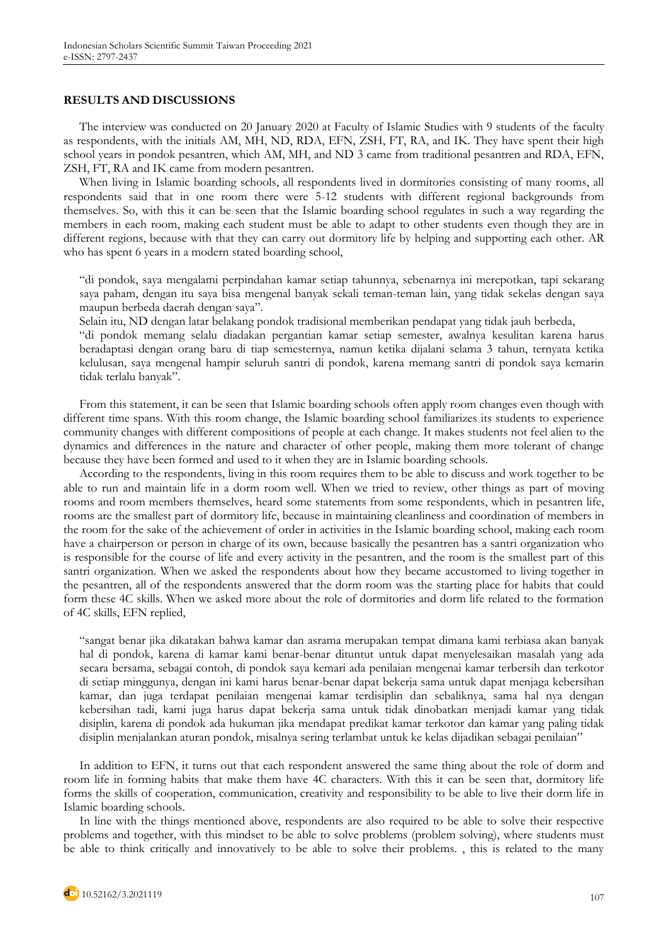### **RESULTS AND DISCUSSIONS**

The interview was conducted on 20 January 2020 at Faculty of Islamic Studies with 9 students of the faculty as respondents, with the initials AM, MH, ND, RDA, EFN, ZSH, FT, RA, and IK. They have spent their high school years in pondok pesantren, which AM, MH, and ND 3 came from traditional pesantren and RDA, EFN, ZSH, FT, RA and IK came from modern pesantren.

When living in Islamic boarding schools, all respondents lived in dormitories consisting of many rooms, all respondents said that in one room there were 5-12 students with different regional backgrounds from themselves. So, with this it can be seen that the Islamic boarding school regulates in such a way regarding the members in each room, making each student must be able to adapt to other students even though they are in different regions, because with that they can carry out dormitory life by helping and supporting each other. AR who has spent 6 years in a modern stated boarding school,

"di pondok, saya mengalami perpindahan kamar setiap tahunnya, sebenarnya ini merepotkan, tapi sekarang saya paham, dengan itu saya bisa mengenal banyak sekali teman-teman lain, yang tidak sekelas dengan saya maupun berbeda daerah dengan saya".

Selain itu, ND dengan latar belakang pondok tradisional memberikan pendapat yang tidak jauh berbeda,

"di pondok memang selalu diadakan pergantian kamar setiap semester, awalnya kesulitan karena harus beradaptasi dengan orang baru di tiap semesternya, namun ketika dijalani selama 3 tahun, ternyata ketika kelulusan, saya mengenal hampir seluruh santri di pondok, karena memang santri di pondok saya kemarin tidak terlalu banyak".

From this statement, it can be seen that Islamic boarding schools often apply room changes even though with different time spans. With this room change, the Islamic boarding school familiarizes its students to experience community changes with different compositions of people at each change. It makes students not feel alien to the dynamics and differences in the nature and character of other people, making them more tolerant of change because they have been formed and used to it when they are in Islamic boarding schools.

According to the respondents, living in this room requires them to be able to discuss and work together to be able to run and maintain life in a dorm room well. When we tried to review, other things as part of moving rooms and room members themselves, heard some statements from some respondents, which in pesantren life, rooms are the smallest part of dormitory life, because in maintaining cleanliness and coordination of members in the room for the sake of the achievement of order in activities in the Islamic boarding school, making each room have a chairperson or person in charge of its own, because basically the pesantren has a santri organization who is responsible for the course of life and every activity in the pesantren, and the room is the smallest part of this santri organization. When we asked the respondents about how they became accustomed to living together in the pesantren, all of the respondents answered that the dorm room was the starting place for habits that could form these 4C skills. When we asked more about the role of dormitories and dorm life related to the formation of 4C skills, EFN replied,

"sangat benar jika dikatakan bahwa kamar dan asrama merupakan tempat dimana kami terbiasa akan banyak hal di pondok, karena di kamar kami benar-benar dituntut untuk dapat menyelesaikan masalah yang ada secara bersama, sebagai contoh, di pondok saya kemari ada penilaian mengenai kamar terbersih dan terkotor di setiap minggunya, dengan ini kami harus benar-benar dapat bekerja sama untuk dapat menjaga kebersihan kamar, dan juga terdapat penilaian mengenai kamar terdisiplin dan sebaliknya, sama hal nya dengan kebersihan tadi, kami juga harus dapat bekerja sama untuk tidak dinobatkan menjadi kamar yang tidak disiplin, karena di pondok ada hukuman jika mendapat predikat kamar terkotor dan kamar yang paling tidak disiplin menjalankan aturan pondok, misalnya sering terlambat untuk ke kelas dijadikan sebagai penilaian"

In addition to EFN, it turns out that each respondent answered the same thing about the role of dorm and room life in forming habits that make them have 4C characters. With this it can be seen that, dormitory life forms the skills of cooperation, communication, creativity and responsibility to be able to live their dorm life in Islamic boarding schools.

In line with the things mentioned above, respondents are also required to be able to solve their respective problems and together, with this mindset to be able to solve problems (problem solving), where students must be able to think critically and innovatively to be able to solve their problems. , this is related to the many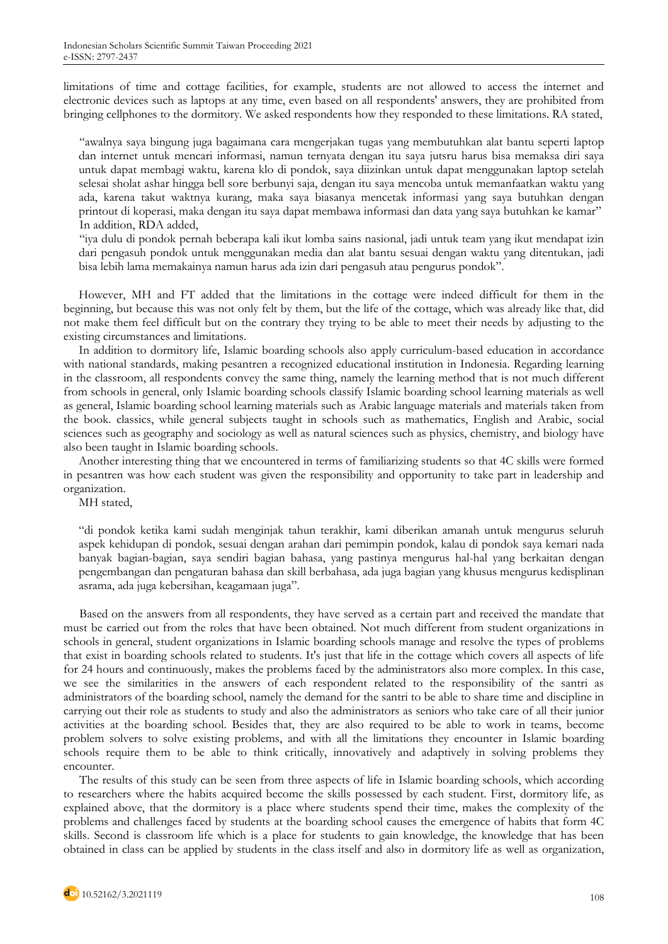limitations of time and cottage facilities, for example, students are not allowed to access the internet and electronic devices such as laptops at any time, even based on all respondents' answers, they are prohibited from bringing cellphones to the dormitory. We asked respondents how they responded to these limitations. RA stated,

"awalnya saya bingung juga bagaimana cara mengerjakan tugas yang membutuhkan alat bantu seperti laptop dan internet untuk mencari informasi, namun ternyata dengan itu saya jutsru harus bisa memaksa diri saya untuk dapat membagi waktu, karena klo di pondok, saya diizinkan untuk dapat menggunakan laptop setelah selesai sholat ashar hingga bell sore berbunyi saja, dengan itu saya mencoba untuk memanfaatkan waktu yang ada, karena takut waktnya kurang, maka saya biasanya mencetak informasi yang saya butuhkan dengan printout di koperasi, maka dengan itu saya dapat membawa informasi dan data yang saya butuhkan ke kamar" In addition, RDA added,

"iya dulu di pondok pernah beberapa kali ikut lomba sains nasional, jadi untuk team yang ikut mendapat izin dari pengasuh pondok untuk menggunakan media dan alat bantu sesuai dengan waktu yang ditentukan, jadi bisa lebih lama memakainya namun harus ada izin dari pengasuh atau pengurus pondok".

However, MH and FT added that the limitations in the cottage were indeed difficult for them in the beginning, but because this was not only felt by them, but the life of the cottage, which was already like that, did not make them feel difficult but on the contrary they trying to be able to meet their needs by adjusting to the existing circumstances and limitations.

In addition to dormitory life, Islamic boarding schools also apply curriculum-based education in accordance with national standards, making pesantren a recognized educational institution in Indonesia. Regarding learning in the classroom, all respondents convey the same thing, namely the learning method that is not much different from schools in general, only Islamic boarding schools classify Islamic boarding school learning materials as well as general, Islamic boarding school learning materials such as Arabic language materials and materials taken from the book. classics, while general subjects taught in schools such as mathematics, English and Arabic, social sciences such as geography and sociology as well as natural sciences such as physics, chemistry, and biology have also been taught in Islamic boarding schools.

Another interesting thing that we encountered in terms of familiarizing students so that 4C skills were formed in pesantren was how each student was given the responsibility and opportunity to take part in leadership and organization.

MH stated,

"di pondok ketika kami sudah menginjak tahun terakhir, kami diberikan amanah untuk mengurus seluruh aspek kehidupan di pondok, sesuai dengan arahan dari pemimpin pondok, kalau di pondok saya kemari nada banyak bagian-bagian, saya sendiri bagian bahasa, yang pastinya mengurus hal-hal yang berkaitan dengan pengembangan dan pengaturan bahasa dan skill berbahasa, ada juga bagian yang khusus mengurus kedisplinan asrama, ada juga kebersihan, keagamaan juga".

Based on the answers from all respondents, they have served as a certain part and received the mandate that must be carried out from the roles that have been obtained. Not much different from student organizations in schools in general, student organizations in Islamic boarding schools manage and resolve the types of problems that exist in boarding schools related to students. It's just that life in the cottage which covers all aspects of life for 24 hours and continuously, makes the problems faced by the administrators also more complex. In this case, we see the similarities in the answers of each respondent related to the responsibility of the santri as administrators of the boarding school, namely the demand for the santri to be able to share time and discipline in carrying out their role as students to study and also the administrators as seniors who take care of all their junior activities at the boarding school. Besides that, they are also required to be able to work in teams, become problem solvers to solve existing problems, and with all the limitations they encounter in Islamic boarding schools require them to be able to think critically, innovatively and adaptively in solving problems they encounter.

The results of this study can be seen from three aspects of life in Islamic boarding schools, which according to researchers where the habits acquired become the skills possessed by each student. First, dormitory life, as explained above, that the dormitory is a place where students spend their time, makes the complexity of the problems and challenges faced by students at the boarding school causes the emergence of habits that form 4C skills. Second is classroom life which is a place for students to gain knowledge, the knowledge that has been obtained in class can be applied by students in the class itself and also in dormitory life as well as organization,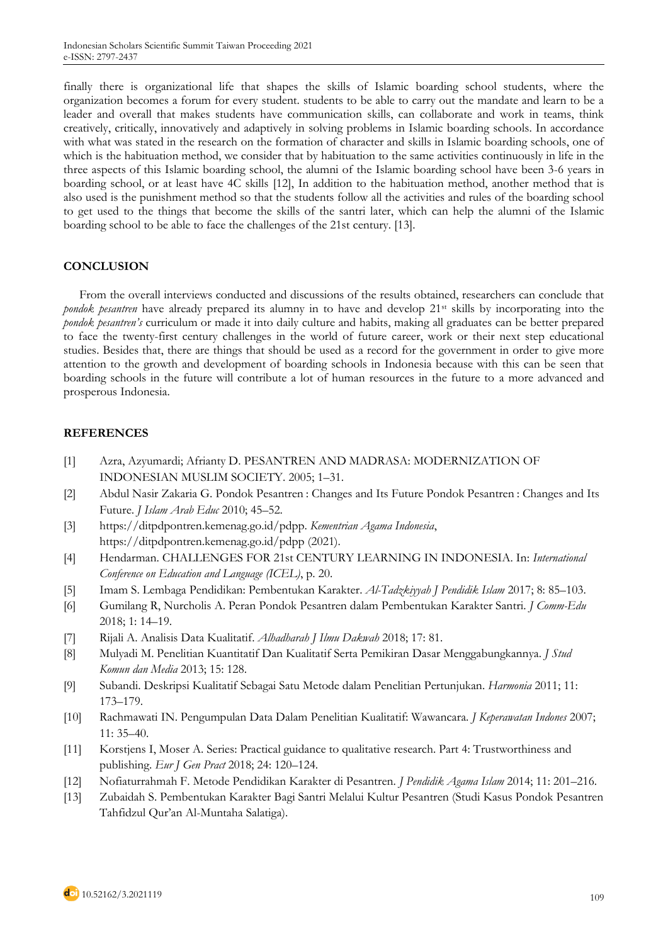finally there is organizational life that shapes the skills of Islamic boarding school students, where the organization becomes a forum for every student. students to be able to carry out the mandate and learn to be a leader and overall that makes students have communication skills, can collaborate and work in teams, think creatively, critically, innovatively and adaptively in solving problems in Islamic boarding schools. In accordance with what was stated in the research on the formation of character and skills in Islamic boarding schools, one of which is the habituation method, we consider that by habituation to the same activities continuously in life in the three aspects of this Islamic boarding school, the alumni of the Islamic boarding school have been 3-6 years in boarding school, or at least have 4C skills [12], In addition to the habituation method, another method that is also used is the punishment method so that the students follow all the activities and rules of the boarding school to get used to the things that become the skills of the santri later, which can help the alumni of the Islamic boarding school to be able to face the challenges of the 21st century. [13].

# **CONCLUSION**

From the overall interviews conducted and discussions of the results obtained, researchers can conclude that *pondok pesantren* have already prepared its alumny in to have and develop 21<sup>st</sup> skills by incorporating into the *pondok pesantren's* curriculum or made it into daily culture and habits, making all graduates can be better prepared to face the twenty-first century challenges in the world of future career, work or their next step educational studies. Besides that, there are things that should be used as a record for the government in order to give more attention to the growth and development of boarding schools in Indonesia because with this can be seen that boarding schools in the future will contribute a lot of human resources in the future to a more advanced and prosperous Indonesia.

# **REFERENCES**

- [1] Azra, Azyumardi; Afrianty D. PESANTREN AND MADRASA: MODERNIZATION OF INDONESIAN MUSLIM SOCIETY. 2005; 1–31.
- [2] Abdul Nasir Zakaria G. Pondok Pesantren : Changes and Its Future Pondok Pesantren : Changes and Its Future. *J Islam Arab Educ* 2010; 45–52.
- [3] https://ditpdpontren.kemenag.go.id/pdpp. *Kementrian Agama Indonesia*, https://ditpdpontren.kemenag.go.id/pdpp (2021).
- [4] Hendarman. CHALLENGES FOR 21st CENTURY LEARNING IN INDONESIA. In: *International Conference on Education and Language (ICEL)*, p. 20.
- [5] Imam S. Lembaga Pendidikan: Pembentukan Karakter. *Al-Tadzkiyyah J Pendidik Islam* 2017; 8: 85–103.
- [6] Gumilang R, Nurcholis A. Peran Pondok Pesantren dalam Pembentukan Karakter Santri. *J Comm-Edu* 2018; 1: 14–19.
- [7] Rijali A. Analisis Data Kualitatif. *Alhadharah J Ilmu Dakwah* 2018; 17: 81.
- [8] Mulyadi M. Penelitian Kuantitatif Dan Kualitatif Serta Pemikiran Dasar Menggabungkannya. *J Stud Komun dan Media* 2013; 15: 128.
- [9] Subandi. Deskripsi Kualitatif Sebagai Satu Metode dalam Penelitian Pertunjukan. *Harmonia* 2011; 11: 173–179.
- [10] Rachmawati IN. Pengumpulan Data Dalam Penelitian Kualitatif: Wawancara. *J Keperawatan Indones* 2007; 11: 35–40.
- [11] Korstjens I, Moser A. Series: Practical guidance to qualitative research. Part 4: Trustworthiness and publishing. *Eur J Gen Pract* 2018; 24: 120–124.
- [12] Nofiaturrahmah F. Metode Pendidikan Karakter di Pesantren. *J Pendidik Agama Islam* 2014; 11: 201–216.
- [13] Zubaidah S. Pembentukan Karakter Bagi Santri Melalui Kultur Pesantren (Studi Kasus Pondok Pesantren Tahfidzul Qur'an Al-Muntaha Salatiga).